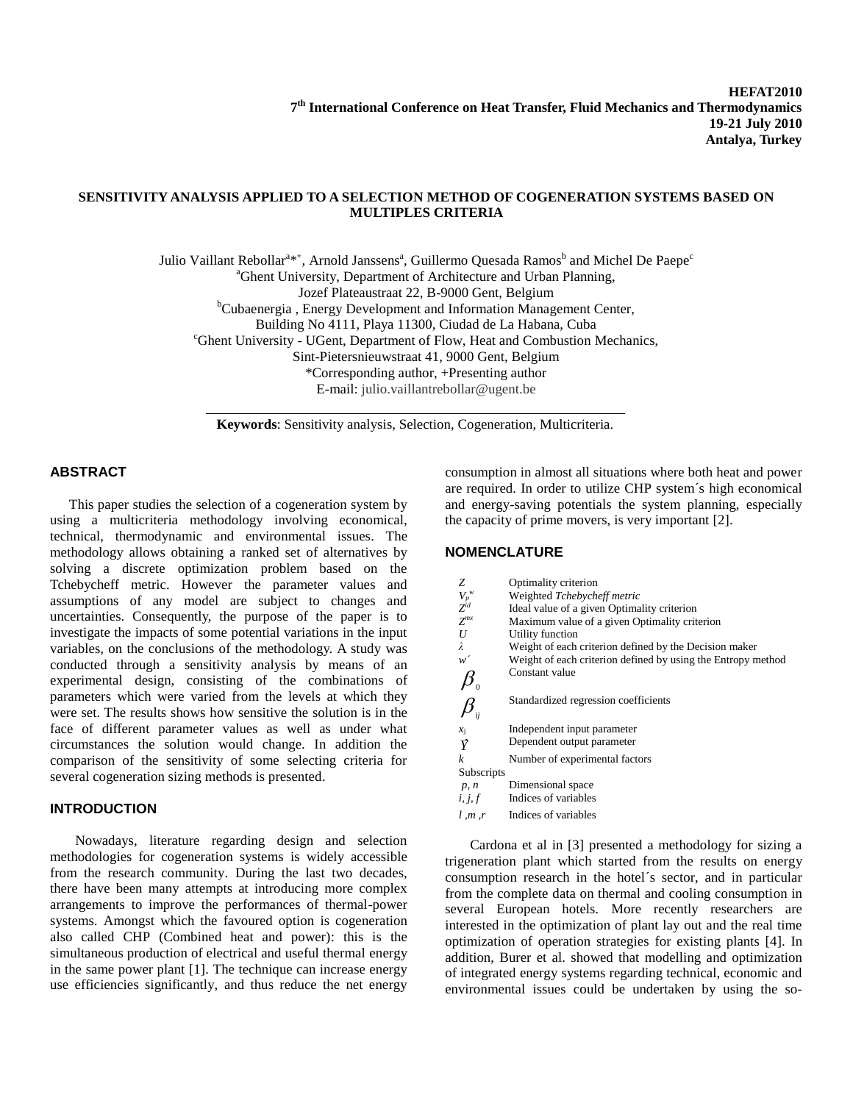# **SENSITIVITY ANALYSIS APPLIED TO A SELECTION METHOD OF COGENERATION SYSTEMS BASED ON MULTIPLES CRITERIA**

Julio Vaillant Rebollar<sup>a\*+</sup>, Arnold Janssens<sup>a</sup>, Guillermo Quesada Ramos<sup>b</sup> and Michel De Paepe<sup>c</sup> <sup>a</sup>Ghent University, Department of Architecture and Urban Planning, Jozef Plateaustraat 22, B-9000 Gent, Belgium <sup>b</sup>Cubaenergia , Energy Development and Information Management Center, Building No 4111, Playa 11300, Ciudad de La Habana, Cuba <sup>c</sup>Ghent University - UGent, Department of Flow, Heat and Combustion Mechanics, Sint-Pietersnieuwstraat 41, 9000 Gent, Belgium \*Corresponding author, +Presenting author E-mail: julio.vaillantrebollar@ugent.be

**Keywords**: Sensitivity analysis, Selection, Cogeneration, Multicriteria.

#### **ABSTRACT**

This paper studies the selection of a cogeneration system by using a multicriteria methodology involving economical, technical, thermodynamic and environmental issues. The methodology allows obtaining a ranked set of alternatives by solving a discrete optimization problem based on the Tchebycheff metric. However the parameter values and assumptions of any model are subject to changes and uncertainties. Consequently, the purpose of the paper is to investigate the impacts of some potential variations in the input variables, on the conclusions of the methodology. A study was conducted through a sensitivity analysis by means of an experimental design, consisting of the combinations of parameters which were varied from the levels at which they were set. The results shows how sensitive the solution is in the face of different parameter values as well as under what circumstances the solution would change. In addition the comparison of the sensitivity of some selecting criteria for several cogeneration sizing methods is presented.

### **INTRODUCTION**

Nowadays, literature regarding design and selection methodologies for cogeneration systems is widely accessible from the research community. During the last two decades, there have been many attempts at introducing more complex arrangements to improve the performances of thermal-power systems. Amongst which the favoured option is cogeneration also called CHP (Combined heat and power): this is the simultaneous production of electrical and useful thermal energy in the same power plant [1]. The technique can increase energy use efficiencies significantly, and thus reduce the net energy

consumption in almost all situations where both heat and power are required. In order to utilize CHP system´s high economical and energy-saving potentials the system planning, especially the capacity of prime movers, is very important [2].

# **NOMENCLATURE**

| Ζ                      | Optimality criterion                                         |
|------------------------|--------------------------------------------------------------|
| $V_p^{w} \over Z^{id}$ | Weighted Tchebycheff metric                                  |
|                        | Ideal value of a given Optimality criterion                  |
| $Z^{mx}$               | Maximum value of a given Optimality criterion                |
| U                      | Utility function                                             |
| λ                      | Weight of each criterion defined by the Decision maker       |
| w <sup>-</sup>         | Weight of each criterion defined by using the Entropy method |
|                        | Constant value                                               |
|                        |                                                              |
|                        | Standardized regression coefficients                         |
| ii                     |                                                              |
| $x_i$                  | Independent input parameter                                  |
|                        | Dependent output parameter                                   |
| $\boldsymbol{k}$       | Number of experimental factors                               |
| Subscripts             |                                                              |
| p, n                   | Dimensional space                                            |
|                        | <i>i</i> , <i>j</i> , $f$ Indices of variables               |
| l, m, r                | Indices of variables                                         |

Cardona et al in [3] presented a methodology for sizing a trigeneration plant which started from the results on energy consumption research in the hotel´s sector, and in particular from the complete data on thermal and cooling consumption in several European hotels. More recently researchers are interested in the optimization of plant lay out and the real time optimization of operation strategies for existing plants [4]. In addition, Burer et al. showed that modelling and optimization of integrated energy systems regarding technical, economic and environmental issues could be undertaken by using the so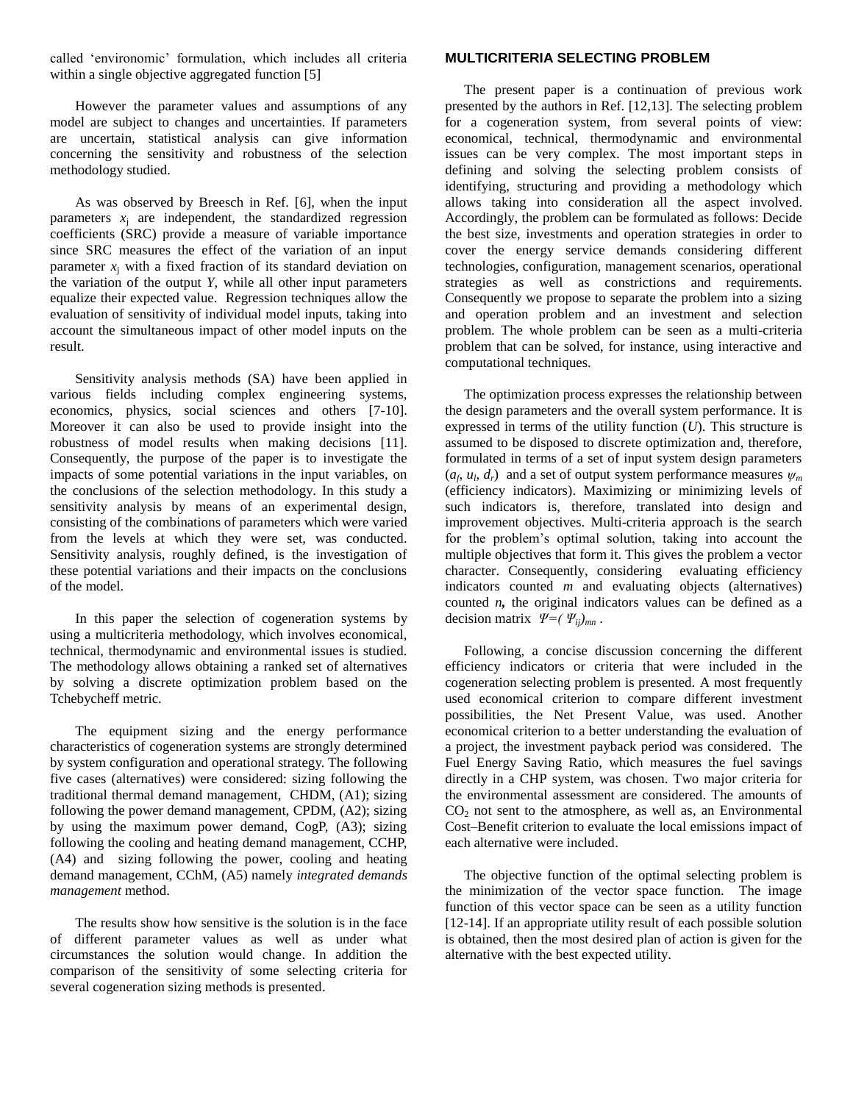called 'environomic' formulation, which includes all criteria within a single objective aggregated function [5]

However the parameter values and assumptions of any model are subject to changes and uncertainties. If parameters are uncertain, statistical analysis can give information concerning the sensitivity and robustness of the selection methodology studied.

As was observed by Breesch in Ref. [6], when the input parameters  $x_i$  are independent, the standardized regression coefficients (SRC) provide a measure of variable importance since SRC measures the effect of the variation of an input parameter  $x_i$  with a fixed fraction of its standard deviation on the variation of the output *Y*, while all other input parameters equalize their expected value. Regression techniques allow the evaluation of sensitivity of individual model inputs, taking into account the simultaneous impact of other model inputs on the result.

Sensitivity analysis methods (SA) have been applied in various fields including complex engineering systems, economics, physics, social sciences and others [7-10]. Moreover it can also be used to provide insight into the robustness of model results when making decisions [11]. Consequently, the purpose of the paper is to investigate the impacts of some potential variations in the input variables, on the conclusions of the selection methodology. In this study a sensitivity analysis by means of an experimental design, consisting of the combinations of parameters which were varied from the levels at which they were set, was conducted. Sensitivity analysis, roughly defined, is the investigation of these potential variations and their impacts on the conclusions of the model.

In this paper the selection of cogeneration systems by using a multicriteria methodology, which involves economical, technical, thermodynamic and environmental issues is studied. The methodology allows obtaining a ranked set of alternatives by solving a discrete optimization problem based on the Tchebycheff metric.

The equipment sizing and the energy performance characteristics of cogeneration systems are strongly determined by system configuration and operational strategy. The following five cases (alternatives) were considered: sizing following the traditional thermal demand management, CHDM, (A1); sizing following the power demand management, CPDM, (A2); sizing by using the maximum power demand, CogP, (A3); sizing following the cooling and heating demand management, CCHP, (A4) and sizing following the power, cooling and heating demand management, CChM, (A5) namely *integrated demands management* method.

The results show how sensitive is the solution is in the face of different parameter values as well as under what circumstances the solution would change. In addition the comparison of the sensitivity of some selecting criteria for several cogeneration sizing methods is presented.

# **MULTICRITERIA SELECTING PROBLEM**

The present paper is a continuation of previous work presented by the authors in Ref. [12,13]. The selecting problem for a cogeneration system, from several points of view: economical, technical, thermodynamic and environmental issues can be very complex. The most important steps in defining and solving the selecting problem consists of identifying, structuring and providing a methodology which allows taking into consideration all the aspect involved. Accordingly, the problem can be formulated as follows: Decide the best size, investments and operation strategies in order to cover the energy service demands considering different technologies, configuration, management scenarios, operational strategies as well as constrictions and requirements. Consequently we propose to separate the problem into a sizing and operation problem and an investment and selection problem. The whole problem can be seen as a multi-criteria problem that can be solved, for instance, using interactive and computational techniques.

The optimization process expresses the relationship between the design parameters and the overall system performance. It is expressed in terms of the utility function (*U*). This structure is assumed to be disposed to discrete optimization and, therefore, formulated in terms of a set of input system design parameters  $(a_f, u_l, d_r)$  and a set of output system performance measures  $\psi_m$ (efficiency indicators). Maximizing or minimizing levels of such indicators is, therefore, translated into design and improvement objectives. Multi-criteria approach is the search for the problem's optimal solution, taking into account the multiple objectives that form it. This gives the problem a vector character. Consequently, considering evaluating efficiency indicators counted *m* and evaluating objects (alternatives) counted *n*, the original indicators values can be defined as a decision matrix  $\Psi = (\Psi_{ij})_{mn}$ .

Following, a concise discussion concerning the different efficiency indicators or criteria that were included in the cogeneration selecting problem is presented. A most frequently used economical criterion to compare different investment possibilities, the Net Present Value, was used. Another economical criterion to a better understanding the evaluation of a project, the investment payback period was considered. The Fuel Energy Saving Ratio, which measures the fuel savings directly in a CHP system, was chosen. Two major criteria for the environmental assessment are considered. The amounts of  $CO<sub>2</sub>$  not sent to the atmosphere, as well as, an Environmental Cost–Benefit criterion to evaluate the local emissions impact of each alternative were included.

The objective function of the optimal selecting problem is the minimization of the vector space function. The image function of this vector space can be seen as a utility function [12-14]. If an appropriate utility result of each possible solution is obtained, then the most desired plan of action is given for the alternative with the best expected utility.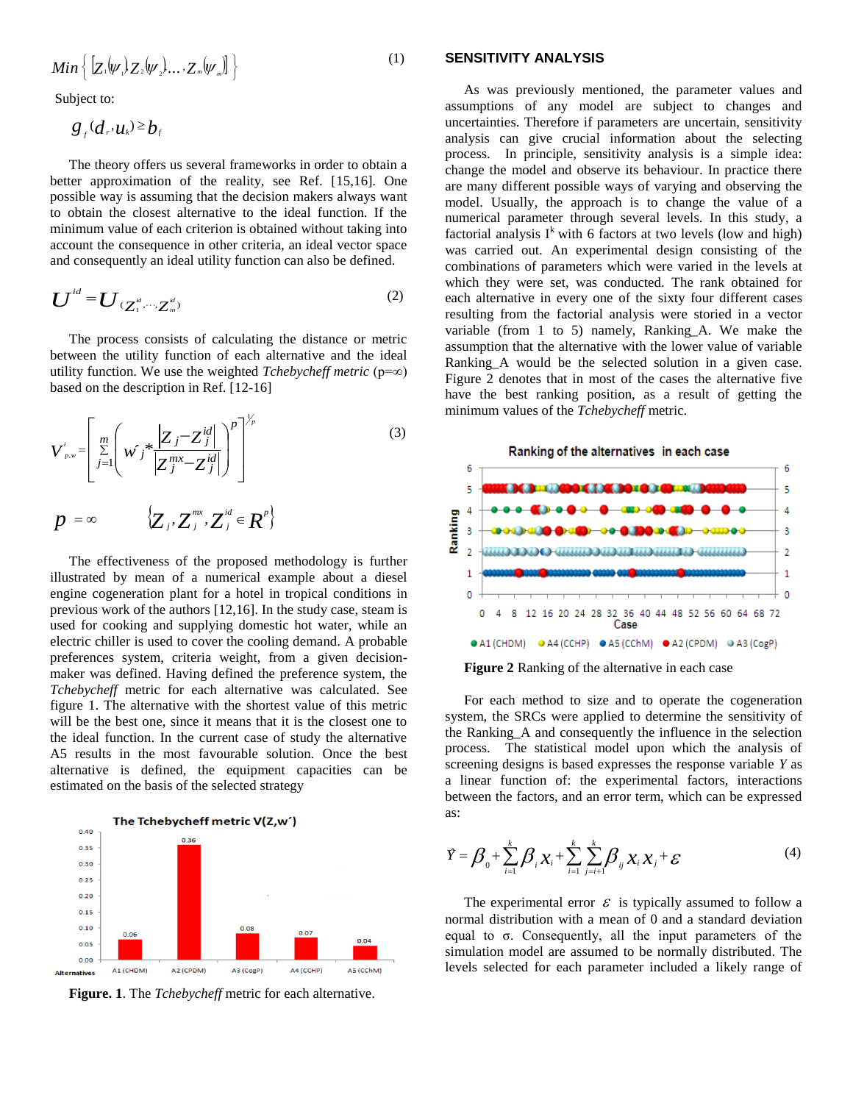$$
Min\left\{ \left[ Z_1|\psi_1 \rangle Z_2|\psi_2 \rangle \dots Z_m|\psi_m \right] \right\}
$$
 (1)

Subject to:

$$
g_{_f}(d_r,u_k) \geq b_f
$$

The theory offers us several frameworks in order to obtain a better approximation of the reality, see Ref. [15,16]. One possible way is assuming that the decision makers always want to obtain the closest alternative to the ideal function. If the minimum value of each criterion is obtained without taking into account the consequence in other criteria, an ideal vector space and consequently an ideal utility function can also be defined.

$$
\boldsymbol{U}^{id} = \boldsymbol{U}_{(\boldsymbol{Z}_{1}^{id}, \cdots, \boldsymbol{Z}_{m}^{id})}
$$
 (2)

The process consists of calculating the distance or metric between the utility function of each alternative and the ideal utility function. We use the weighted *Tchebycheff metric* ( $p=\infty$ ) based on the description in Ref. [12-16]

$$
V_{p,w}^{i} = \left[ \sum_{j=1}^{m} \left( w_{j}^{*} \frac{Z_{j} - Z_{j}^{id}|}{Z_{j}^{mx} - Z_{j}^{id}|} \right)^{p} \right]^{V_{p}}
$$
\n
$$
p = \infty \qquad \sum_{j} Z_{j}^{mx} \cdot Z_{j}^{id} \in \mathbb{R}^{p} \}
$$
\n(3)

The effectiveness of the proposed methodology is further illustrated by mean of a numerical example about a diesel engine cogeneration plant for a hotel in tropical conditions in previous work of the authors [12,16]. In the study case, steam is used for cooking and supplying domestic hot water, while an electric chiller is used to cover the cooling demand. A probable preferences system, criteria weight, from a given decisionmaker was defined. Having defined the preference system, the *Tchebycheff* metric for each alternative was calculated. See figure 1. The alternative with the shortest value of this metric will be the best one, since it means that it is the closest one to the ideal function. In the current case of study the alternative A5 results in the most favourable solution. Once the best alternative is defined, the equipment capacities can be estimated on the basis of the selected strategy



**Figure. 1**. The *Tchebycheff* metric for each alternative.

#### **SENSITIVITY ANALYSIS**

As was previously mentioned, the parameter values and assumptions of any model are subject to changes and uncertainties. Therefore if parameters are uncertain, sensitivity analysis can give crucial information about the selecting process. In principle, sensitivity analysis is a simple idea: change the model and observe its behaviour. In practice there are many different possible ways of varying and observing the model. Usually, the approach is to change the value of a numerical parameter through several levels. In this study, a factorial analysis  $I^k$  with 6 factors at two levels (low and high) was carried out. An experimental design consisting of the combinations of parameters which were varied in the levels at which they were set, was conducted. The rank obtained for each alternative in every one of the sixty four different cases resulting from the factorial analysis were storied in a vector variable (from 1 to 5) namely, Ranking\_A. We make the assumption that the alternative with the lower value of variable Ranking\_A would be the selected solution in a given case. Figure 2 denotes that in most of the cases the alternative five have the best ranking position, as a result of getting the minimum values of the *Tchebycheff* metric.



**Figure 2** Ranking of the alternative in each case

For each method to size and to operate the cogeneration system, the SRCs were applied to determine the sensitivity of the Ranking\_A and consequently the influence in the selection process. The statistical model upon which the analysis of screening designs is based expresses the response variable *Y* as a linear function of: the experimental factors, interactions between the factors, and an error term, which can be expressed as:

$$
\hat{Y} = \beta_0 + \sum_{i=1}^k \beta_i x_i + \sum_{i=1}^k \sum_{j=i+1}^k \beta_{ij} x_i x_j + \varepsilon
$$
\n(4)

The experimental error  $\epsilon$  is typically assumed to follow a normal distribution with a mean of 0 and a standard deviation equal to σ. Consequently, all the input parameters of the simulation model are assumed to be normally distributed. The levels selected for each parameter included a likely range of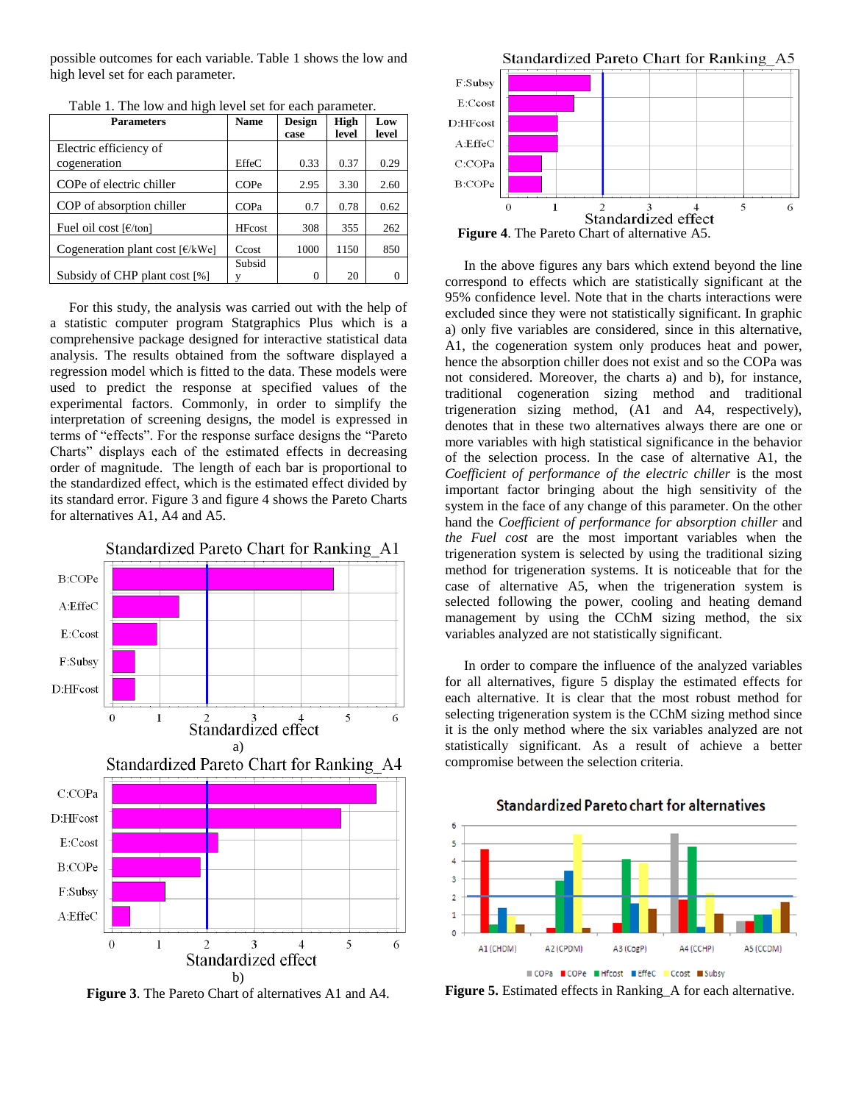possible outcomes for each variable. Table 1 shows the low and high level set for each parameter.

| <b>Parameters</b>                                          | <b>Name</b>   | <b>Design</b> | High  | Low   |
|------------------------------------------------------------|---------------|---------------|-------|-------|
|                                                            |               | case          | level | level |
| Electric efficiency of                                     |               |               |       |       |
| cogeneration                                               | <b>EffeC</b>  | 0.33          | 0.37  | 0.29  |
| COPe of electric chiller                                   | COPe          | 2.95          | 3.30  | 2.60  |
| COP of absorption chiller                                  | <b>COPa</b>   | 0.7           | 0.78  | 0.62  |
| Fuel oil cost $\lceil \frac{\epsilon}{\tan \theta} \rceil$ | <b>HFcost</b> | 308           | 355   | 262   |
| Cogeneration plant cost $[€/kWe]$                          | Ccost         | 1000          | 1150  | 850   |
|                                                            | Subsid        |               |       |       |
| Subsidy of CHP plant cost [%]                              |               | 0             | 20    |       |

Table 1. The low and high level set for each parameter.

For this study, the analysis was carried out with the help of a statistic computer program Statgraphics Plus which is a comprehensive package designed for interactive statistical data analysis. The results obtained from the software displayed a regression model which is fitted to the data. These models were used to predict the response at specified values of the experimental factors. Commonly, in order to simplify the interpretation of screening designs, the model is expressed in terms of "effects". For the response surface designs the "Pareto Charts" displays each of the estimated effects in decreasing order of magnitude. The length of each bar is proportional to the standardized effect, which is the estimated effect divided by its standard error. Figure 3 and figure 4 shows the Pareto Charts for alternatives A1, A4 and A5.



**Figure 3**. The Pareto Chart of alternatives A1 and A4.



**Figure 4**. The Pareto Chart of alternative A5.

In the above figures any bars which extend beyond the line correspond to effects which are statistically significant at the 95% confidence level. Note that in the charts interactions were excluded since they were not statistically significant. In graphic a) only five variables are considered, since in this alternative, A1, the cogeneration system only produces heat and power, hence the absorption chiller does not exist and so the COPa was not considered. Moreover, the charts a) and b), for instance, traditional cogeneration sizing method and traditional trigeneration sizing method, (A1 and A4, respectively), denotes that in these two alternatives always there are one or more variables with high statistical significance in the behavior of the selection process. In the case of alternative A1, the *Coefficient of performance of the electric chiller* is the most important factor bringing about the high sensitivity of the system in the face of any change of this parameter. On the other hand the *Coefficient of performance for absorption chiller* and *the Fuel cost* are the most important variables when the trigeneration system is selected by using the traditional sizing method for trigeneration systems. It is noticeable that for the case of alternative A5, when the trigeneration system is selected following the power, cooling and heating demand management by using the CChM sizing method, the six variables analyzed are not statistically significant.

In order to compare the influence of the analyzed variables for all alternatives, figure 5 display the estimated effects for each alternative. It is clear that the most robust method for selecting trigeneration system is the CChM sizing method since it is the only method where the six variables analyzed are not statistically significant. As a result of achieve a better compromise between the selection criteria.



**Standardized Pareto chart for alternatives** 

**Figure 5.** Estimated effects in Ranking A for each alternative.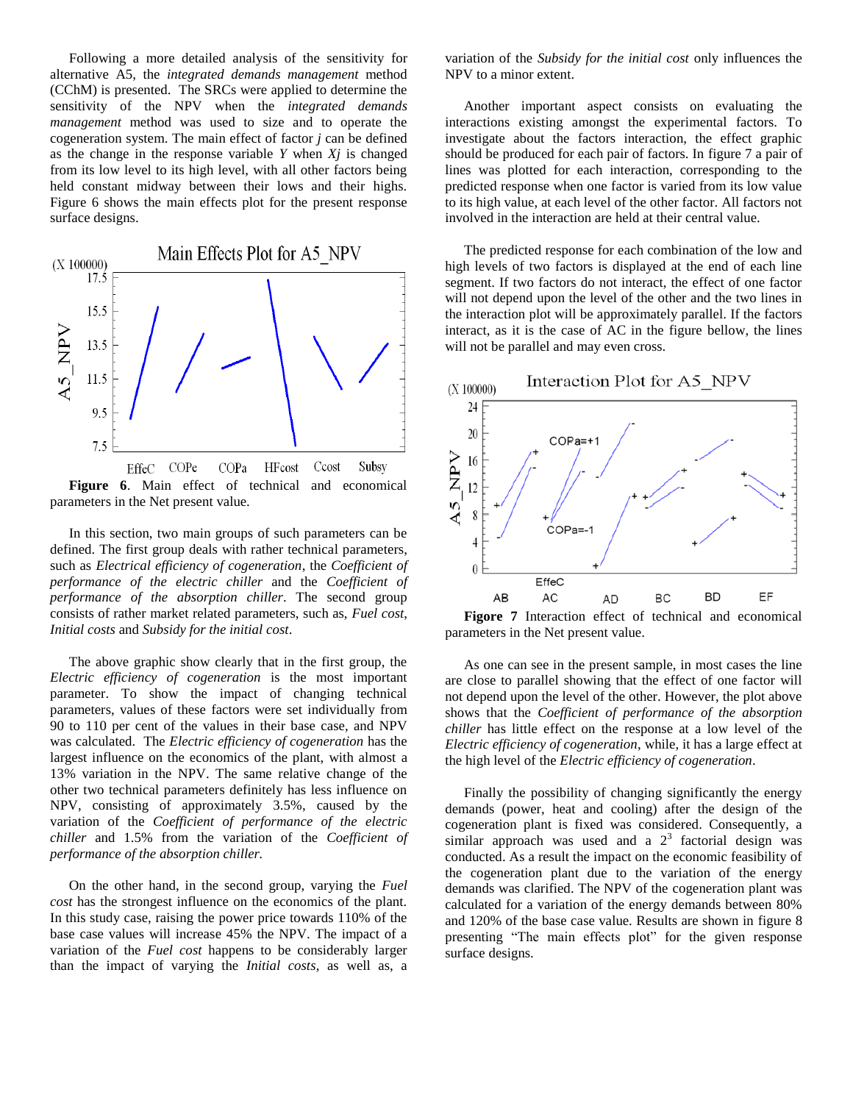Following a more detailed analysis of the sensitivity for alternative A5, the *integrated demands management* method (CChM) is presented. The SRCs were applied to determine the sensitivity of the NPV when the *integrated demands management* method was used to size and to operate the cogeneration system. The main effect of factor *j* can be defined as the change in the response variable *Y* when *Xj* is changed from its low level to its high level, with all other factors being held constant midway between their lows and their highs. Figure 6 shows the main effects plot for the present response surface designs.



In this section, two main groups of such parameters can be defined. The first group deals with rather technical parameters, such as *Electrical efficiency of cogeneration*, the *Coefficient of performance of the electric chiller* and the *Coefficient of performance of the absorption chiller*. The second group consists of rather market related parameters, such as, *Fuel cost*, *Initial costs* and *Subsidy for the initial cost*.

The above graphic show clearly that in the first group, the *Electric efficiency of cogeneration* is the most important parameter. To show the impact of changing technical parameters, values of these factors were set individually from 90 to 110 per cent of the values in their base case, and NPV was calculated. The *Electric efficiency of cogeneration* has the largest influence on the economics of the plant, with almost a 13% variation in the NPV. The same relative change of the other two technical parameters definitely has less influence on NPV, consisting of approximately 3.5%, caused by the variation of the *Coefficient of performance of the electric chiller* and 1.5% from the variation of the *Coefficient of performance of the absorption chiller.*

On the other hand, in the second group, varying the *Fuel cost* has the strongest influence on the economics of the plant. In this study case, raising the power price towards 110% of the base case values will increase 45% the NPV. The impact of a variation of the *Fuel cost* happens to be considerably larger than the impact of varying the *Initial costs*, as well as, a

variation of the *Subsidy for the initial cost* only influences the NPV to a minor extent.

Another important aspect consists on evaluating the interactions existing amongst the experimental factors. To investigate about the factors interaction, the effect graphic should be produced for each pair of factors. In figure 7 a pair of lines was plotted for each interaction, corresponding to the predicted response when one factor is varied from its low value to its high value, at each level of the other factor. All factors not involved in the interaction are held at their central value.

The predicted response for each combination of the low and high levels of two factors is displayed at the end of each line segment. If two factors do not interact, the effect of one factor will not depend upon the level of the other and the two lines in the interaction plot will be approximately parallel. If the factors interact, as it is the case of AC in the figure bellow, the lines will not be parallel and may even cross.



**Figore 7** Interaction effect of technical and economical parameters in the Net present value.

As one can see in the present sample, in most cases the line are close to parallel showing that the effect of one factor will not depend upon the level of the other. However, the plot above shows that the *Coefficient of performance of the absorption chiller* has little effect on the response at a low level of the *Electric efficiency of cogeneration*, while, it has a large effect at the high level of the *Electric efficiency of cogeneration*.

Finally the possibility of changing significantly the energy demands (power, heat and cooling) after the design of the cogeneration plant is fixed was considered. Consequently, a similar approach was used and a  $2<sup>3</sup>$  factorial design was conducted. As a result the impact on the economic feasibility of the cogeneration plant due to the variation of the energy demands was clarified. The NPV of the cogeneration plant was calculated for a variation of the energy demands between 80% and 120% of the base case value. Results are shown in figure 8 presenting "The main effects plot" for the given response surface designs.